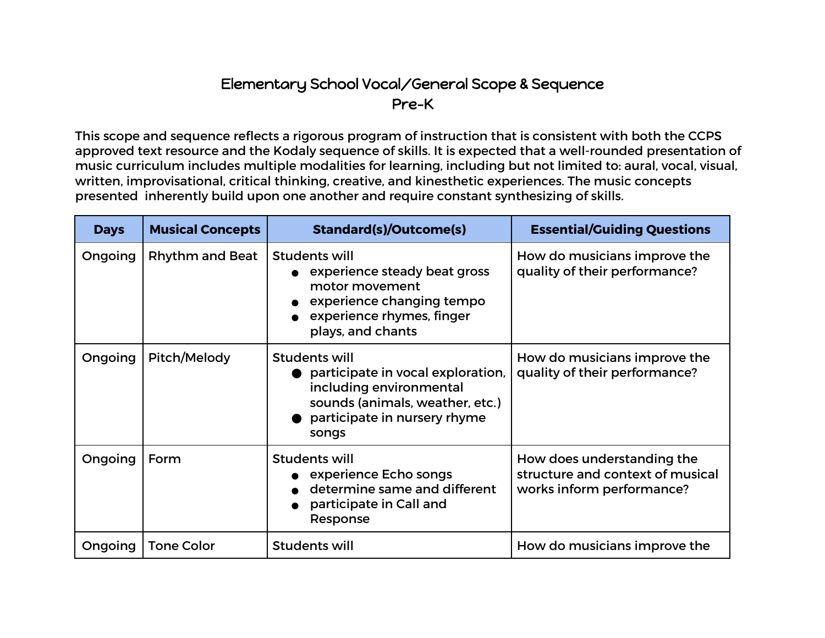## Elementary School Vocal/General Scope & Sequence Pre-K

This scope and sequence reflects a rigorous program of instruction that is consistent with both the CCPS approved text resource and the Kodaly sequence of skills. It is expected that a well-rounded presentation of music curriculum includes multiple modalities for learning, including but not limited to: aural, vocal, visual, written, improvisational, critical thinking, creative, and kinesthetic experiences. The music concepts presented inherently build upon one another and require constant synthesizing of skills.

| <b>Days</b> | <b>Musical Concepts</b> | <b>Standard(s)/Outcome(s)</b>                                                                                                                                    | <b>Essential/Guiding Questions</b>                                                          |
|-------------|-------------------------|------------------------------------------------------------------------------------------------------------------------------------------------------------------|---------------------------------------------------------------------------------------------|
| Ongoing     | Rhythm and Beat         | <b>Students will</b><br>experience steady beat gross<br>motor movement<br>experience changing tempo<br>experience rhymes, finger<br>plays, and chants            | How do musicians improve the<br>quality of their performance?                               |
| Ongoing     | Pitch/Melody            | <b>Students will</b><br>participate in vocal exploration,<br>including environmental<br>sounds (animals, weather, etc.)<br>participate in nursery rhyme<br>songs | How do musicians improve the<br>quality of their performance?                               |
| Ongoing     | Form                    | <b>Students will</b><br>experience Echo songs<br>determine same and different<br>participate in Call and<br>Response                                             | How does understanding the<br>structure and context of musical<br>works inform performance? |
| Ongoing     | <b>Tone Color</b>       | <b>Students will</b>                                                                                                                                             | How do musicians improve the                                                                |